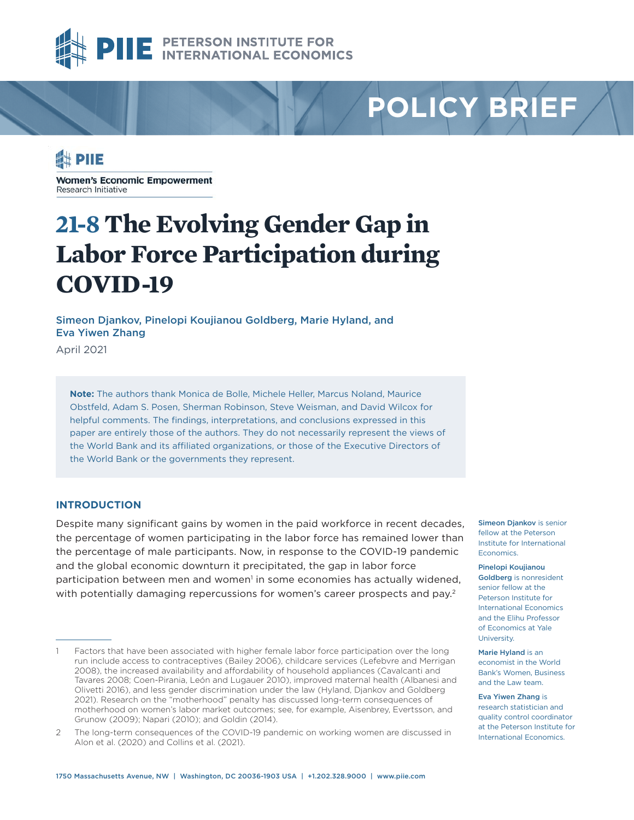

# **POLICY BRIEF**

### **Expire**

**Women's Economic Empowerment** Research Initiative

## **21-8 The Evolving Gender Gap in Labor Force Participation during COVID-19**

Simeon Djankov, Pinelopi Koujianou Goldberg, Marie Hyland, and Eva Yiwen Zhang

April 2021

**Note:** The authors thank Monica de Bolle, Michele Heller, Marcus Noland, Maurice Obstfeld, Adam S. Posen, Sherman Robinson, Steve Weisman, and David Wilcox for helpful comments. The findings, interpretations, and conclusions expressed in this paper are entirely those of the authors. They do not necessarily represent the views of the World Bank and its affiliated organizations, or those of the Executive Directors of the World Bank or the governments they represent.

#### **INTRODUCTION**

Despite many significant gains by women in the paid workforce in recent decades, the percentage of women participating in the labor force has remained lower than the percentage of male participants. Now, in response to the COVID-19 pandemic and the global economic downturn it precipitated, the gap in labor force participation between men and women<sup>1</sup> in some economies has actually widened, with potentially damaging repercussions for women's career prospects and pay.<sup>2</sup>

Simeon Diankov is senior fellow at the Peterson Institute for International **Economics** 

[Pinelopi Koujianou](https://www.piie.com/experts/senior-research-staff/pinelopi-koujianou-goldberg)  [Goldberg](https://www.piie.com/experts/senior-research-staff/pinelopi-koujianou-goldberg) is nonresident senior fellow at the Peterson Institute for International Economics and the Elihu Professor of Economics at Yale **University** 

Marie Hyland is an economist in the World Bank's Women, Business and the Law team.

[Eva Yiwen Zhang](https://www.piie.com/experts/senior-research-staff/eva-yiwen-zhang) is research statistician and quality control coordinator at the Peterson Institute for International Economics.

Factors that have been associated with higher female labor force participation over the long run include access to contraceptives (Bailey 2006), childcare services (Lefebvre and Merrigan 2008), the increased availability and affordability of household appliances (Cavalcanti and Tavares 2008; Coen-Pirania, León and Lugauer 2010), improved maternal health (Albanesi and Olivetti 2016), and less gender discrimination under the law (Hyland, Djankov and Goldberg 2021). Research on the "motherhood" penalty has discussed long-term consequences of motherhood on women's labor market outcomes; see, for example, Aisenbrey, Evertsson, and Grunow (2009); Napari (2010); and Goldin (2014).

<sup>2</sup> The long-term consequences of the COVID-19 pandemic on working women are discussed in Alon et al. (2020) and Collins et al. (2021).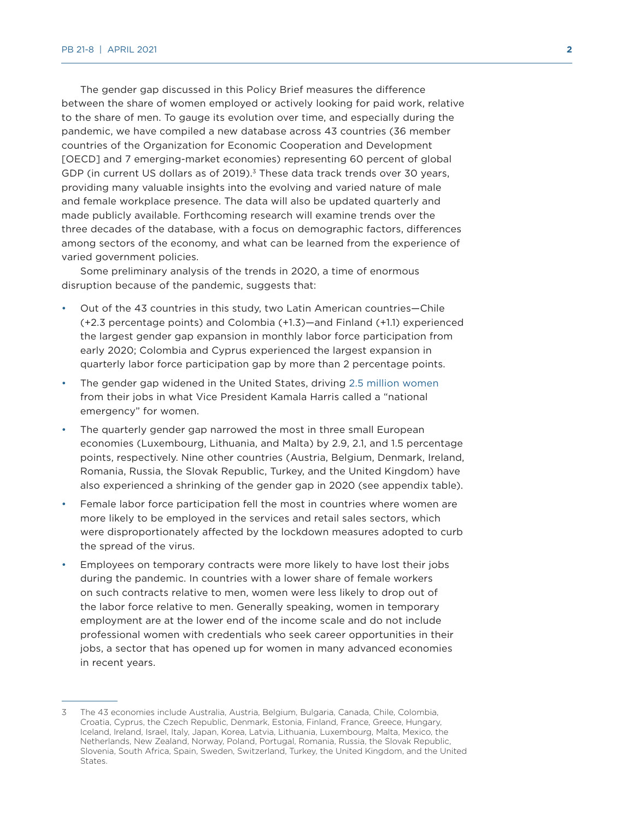The gender gap discussed in this Policy Brief measures the difference between the share of women employed or actively looking for paid work, relative to the share of men. To gauge its evolution over time, and especially during the pandemic, we have compiled a new database across 43 countries (36 member countries of the Organization for Economic Cooperation and Development [OECD] and 7 emerging-market economies) representing 60 percent of global GDP (in current US dollars as of 2019).<sup>3</sup> These data track trends over 30 years, providing many valuable insights into the evolving and varied nature of male and female workplace presence. The data will also be updated quarterly and made publicly available. Forthcoming research will examine trends over the three decades of the database, with a focus on demographic factors, differences among sectors of the economy, and what can be learned from the experience of varied government policies.

Some preliminary analysis of the trends in 2020, a time of enormous disruption because of the pandemic, suggests that:

- Out of the 43 countries in this study, two Latin American countries—Chile (+2.3 percentage points) and Colombia (+1.3)—and Finland (+1.1) experienced the largest gender gap expansion in monthly labor force participation from early 2020; Colombia and Cyprus experienced the largest expansion in quarterly labor force participation gap by more than 2 percentage points.
- The gender gap widened in the United States, driving [2.5 million women](https://www.piie.com/blogs/realtime-economic-issues-watch/covid-19-widens-gender-gap-labor-force-participation) from their jobs in what Vice President Kamala Harris called a "national emergency" for women.
- The quarterly gender gap narrowed the most in three small European economies (Luxembourg, Lithuania, and Malta) by 2.9, 2.1, and 1.5 percentage points, respectively. Nine other countries (Austria, Belgium, Denmark, Ireland, Romania, Russia, the Slovak Republic, Turkey, and the United Kingdom) have also experienced a shrinking of the gender gap in 2020 (see appendix table).
- Female labor force participation fell the most in countries where women are more likely to be employed in the services and retail sales sectors, which were disproportionately affected by the lockdown measures adopted to curb the spread of the virus.
- Employees on temporary contracts were more likely to have lost their jobs during the pandemic. In countries with a lower share of female workers on such contracts relative to men, women were less likely to drop out of the labor force relative to men. Generally speaking, women in temporary employment are at the lower end of the income scale and do not include professional women with credentials who seek career opportunities in their jobs, a sector that has opened up for women in many advanced economies in recent years.

<sup>3</sup> The 43 economies include Australia, Austria, Belgium, Bulgaria, Canada, Chile, Colombia, Croatia, Cyprus, the Czech Republic, Denmark, Estonia, Finland, France, Greece, Hungary, Iceland, Ireland, Israel, Italy, Japan, Korea, Latvia, Lithuania, Luxembourg, Malta, Mexico, the Netherlands, New Zealand, Norway, Poland, Portugal, Romania, Russia, the Slovak Republic, Slovenia, South Africa, Spain, Sweden, Switzerland, Turkey, the United Kingdom, and the United States.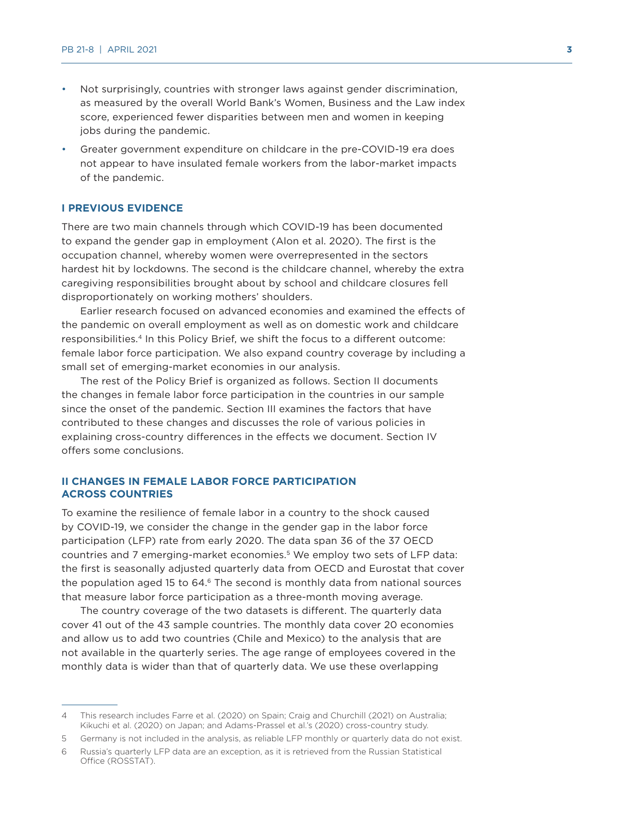- Not surprisingly, countries with stronger laws against gender discrimination, as measured by the overall World Bank's Women, Business and the Law index score, experienced fewer disparities between men and women in keeping jobs during the pandemic.
- Greater government expenditure on childcare in the pre-COVID-19 era does not appear to have insulated female workers from the labor-market impacts of the pandemic.

#### **I PREVIOUS EVIDENCE**

There are two main channels through which COVID-19 has been documented to expand the gender gap in employment (Alon et al. 2020). The first is the occupation channel, whereby women were overrepresented in the sectors hardest hit by lockdowns. The second is the childcare channel, whereby the extra caregiving responsibilities brought about by school and childcare closures fell disproportionately on working mothers' shoulders.

Earlier research focused on advanced economies and examined the effects of the pandemic on overall employment as well as on domestic work and childcare responsibilities.4 In this Policy Brief, we shift the focus to a different outcome: female labor force participation. We also expand country coverage by including a small set of emerging-market economies in our analysis.

The rest of the Policy Brief is organized as follows. Section II documents the changes in female labor force participation in the countries in our sample since the onset of the pandemic. Section III examines the factors that have contributed to these changes and discusses the role of various policies in explaining cross-country differences in the effects we document. Section IV offers some conclusions.

#### **II CHANGES IN FEMALE LABOR FORCE PARTICIPATION ACROSS COUNTRIES**

To examine the resilience of female labor in a country to the shock caused by COVID-19, we consider the change in the gender gap in the labor force participation (LFP) rate from early 2020. The data span 36 of the 37 OECD countries and 7 emerging-market economies.5 We employ two sets of LFP data: the first is seasonally adjusted quarterly data from OECD and Eurostat that cover the population aged 15 to  $64<sup>6</sup>$  The second is monthly data from national sources that measure labor force participation as a three-month moving average.

The country coverage of the two datasets is different. The quarterly data cover 41 out of the 43 sample countries. The monthly data cover 20 economies and allow us to add two countries (Chile and Mexico) to the analysis that are not available in the quarterly series. The age range of employees covered in the monthly data is wider than that of quarterly data. We use these overlapping

<sup>4</sup> This research includes Farre et al. (2020) on Spain; Craig and Churchill (2021) on Australia; Kikuchi et al. (2020) on Japan; and Adams-Prassel et al.'s (2020) cross-country study.

<sup>5</sup> Germany is not included in the analysis, as reliable LFP monthly or quarterly data do not exist.

<sup>6</sup> Russia's quarterly LFP data are an exception, as it is retrieved from the Russian Statistical Office (ROSSTAT).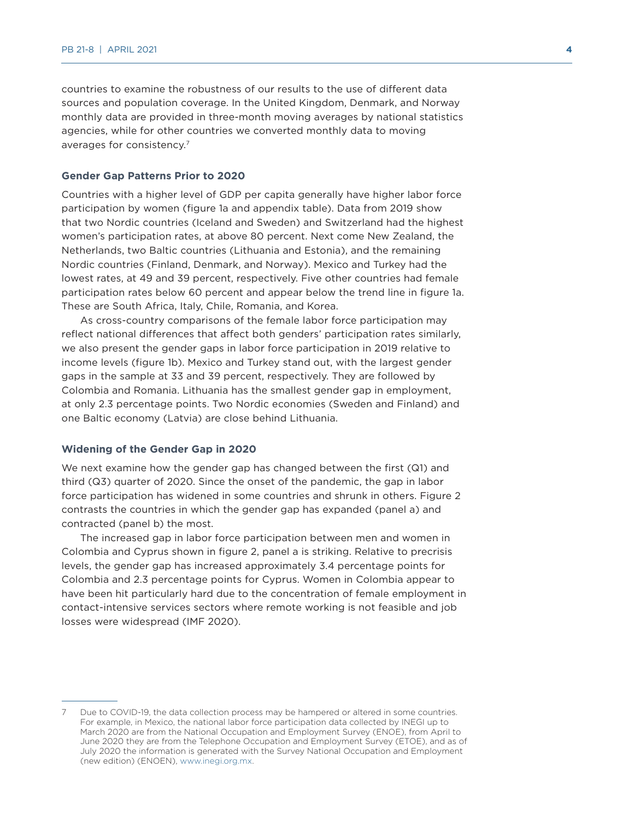countries to examine the robustness of our results to the use of different data sources and population coverage. In the United Kingdom, Denmark, and Norway monthly data are provided in three-month moving averages by national statistics agencies, while for other countries we converted monthly data to moving averages for consistency.7

#### **Gender Gap Patterns Prior to 2020**

Countries with a higher level of GDP per capita generally have higher labor force participation by women (figure 1a and appendix table). Data from 2019 show that two Nordic countries (Iceland and Sweden) and Switzerland had the highest women's participation rates, at above 80 percent. Next come New Zealand, the Netherlands, two Baltic countries (Lithuania and Estonia), and the remaining Nordic countries (Finland, Denmark, and Norway). Mexico and Turkey had the lowest rates, at 49 and 39 percent, respectively. Five other countries had female participation rates below 60 percent and appear below the trend line in figure 1a. These are South Africa, Italy, Chile, Romania, and Korea.

As cross-country comparisons of the female labor force participation may reflect national differences that affect both genders' participation rates similarly, we also present the gender gaps in labor force participation in 2019 relative to income levels (figure 1b). Mexico and Turkey stand out, with the largest gender gaps in the sample at 33 and 39 percent, respectively. They are followed by Colombia and Romania. Lithuania has the smallest gender gap in employment, at only 2.3 percentage points. Two Nordic economies (Sweden and Finland) and one Baltic economy (Latvia) are close behind Lithuania.

#### **Widening of the Gender Gap in 2020**

We next examine how the gender gap has changed between the first (Q1) and third (Q3) quarter of 2020. Since the onset of the pandemic, the gap in labor force participation has widened in some countries and shrunk in others. Figure 2 contrasts the countries in which the gender gap has expanded (panel a) and contracted (panel b) the most.

The increased gap in labor force participation between men and women in Colombia and Cyprus shown in figure 2, panel a is striking. Relative to precrisis levels, the gender gap has increased approximately 3.4 percentage points for Colombia and 2.3 percentage points for Cyprus. Women in Colombia appear to have been hit particularly hard due to the concentration of female employment in contact-intensive services sectors where remote working is not feasible and job losses were widespread (IMF 2020).

<sup>7</sup> Due to COVID-19, the data collection process may be hampered or altered in some countries. For example, in Mexico, the national labor force participation data collected by INEGI up to March 2020 are from the National Occupation and Employment Survey (ENOE), from April to June 2020 they are from the Telephone Occupation and Employment Survey (ETOE), and as of July 2020 the information is generated with the Survey National Occupation and Employment (new edition) (ENOEN), [www.inegi.org.mx.](http://www.inegi.org.mx)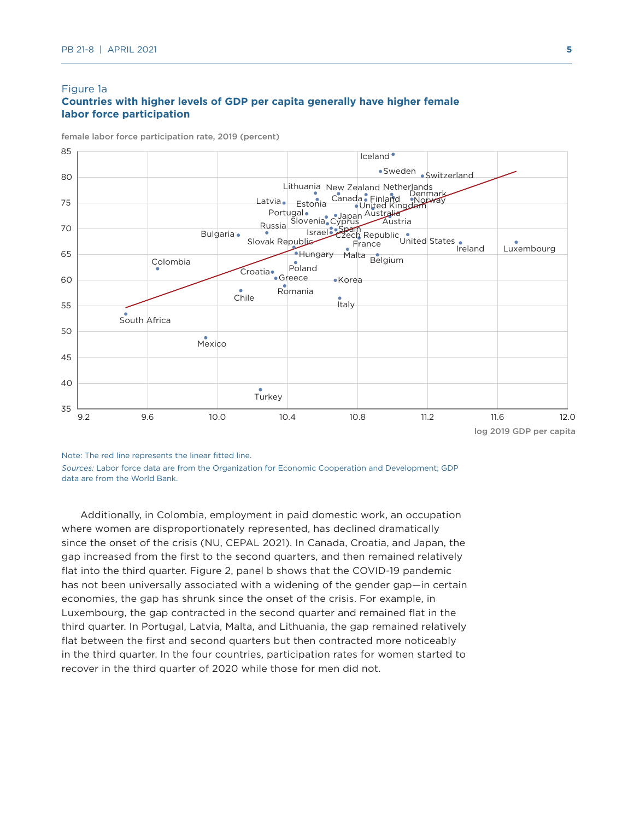#### Figure 1a

#### **Countries with higher levels of GDP per capita generally have higher female labor force participation**

female labor force participation rate, 2019 (percent)



Note: The red line represents the linear fitted line.

*Sources:* Labor force data are from the Organization for Economic Cooperation and Development; GDP data are from the World Bank.

Additionally, in Colombia, employment in paid domestic work, an occupation where women are disproportionately represented, has declined dramatically since the onset of the crisis (NU, CEPAL 2021). In Canada, Croatia, and Japan, the gap increased from the first to the second quarters, and then remained relatively flat into the third quarter. Figure 2, panel b shows that the COVID-19 pandemic has not been universally associated with a widening of the gender gap—in certain economies, the gap has shrunk since the onset of the crisis. For example, in Luxembourg, the gap contracted in the second quarter and remained flat in the third quarter. In Portugal, Latvia, Malta, and Lithuania, the gap remained relatively flat between the first and second quarters but then contracted more noticeably in the third quarter. In the four countries, participation rates for women started to recover in the third quarter of 2020 while those for men did not.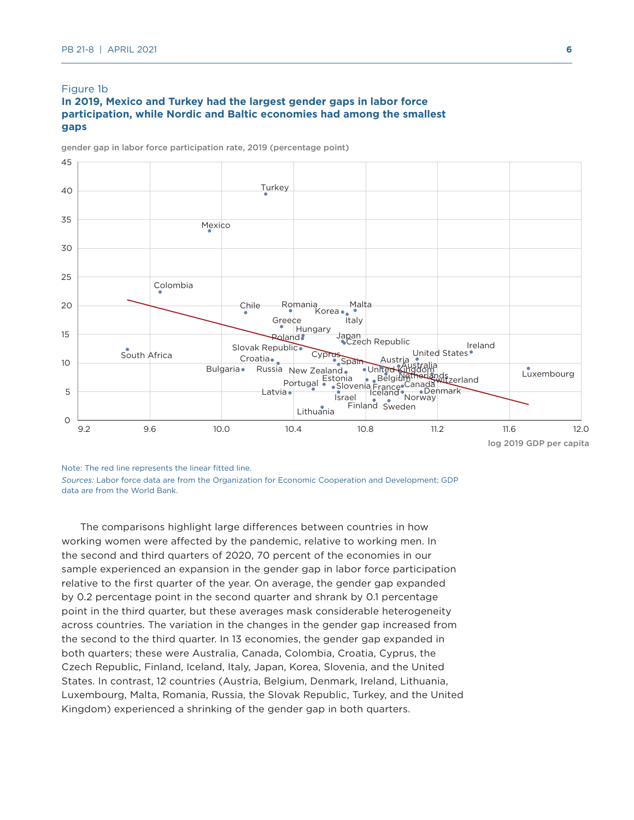#### Figure 1b

#### **In 2019, Mexico and Turkey had the largest gender gaps in labor force participation, while Nordic and Baltic economies had among the smallest gaps**

gender gap in labor force participation rate, 2019 (percentage point)



Note: The red line represents the linear fitted line.

*Sources:* Labor force data are from the Organization for Economic Cooperation and Development; GDP data are from the World Bank.

The comparisons highlight large differences between countries in how working women were affected by the pandemic, relative to working men. In the second and third quarters of 2020, 70 percent of the economies in our sample experienced an expansion in the gender gap in labor force participation relative to the first quarter of the year. On average, the gender gap expanded by 0.2 percentage point in the second quarter and shrank by 0.1 percentage point in the third quarter, but these averages mask considerable heterogeneity across countries. The variation in the changes in the gender gap increased from the second to the third quarter. In 13 economies, the gender gap expanded in both quarters; these were Australia, Canada, Colombia, Croatia, Cyprus, the Czech Republic, Finland, Iceland, Italy, Japan, Korea, Slovenia, and the United States. In contrast, 12 countries (Austria, Belgium, Denmark, Ireland, Lithuania, Luxembourg, Malta, Romania, Russia, the Slovak Republic, Turkey, and the United Kingdom) experienced a shrinking of the gender gap in both quarters.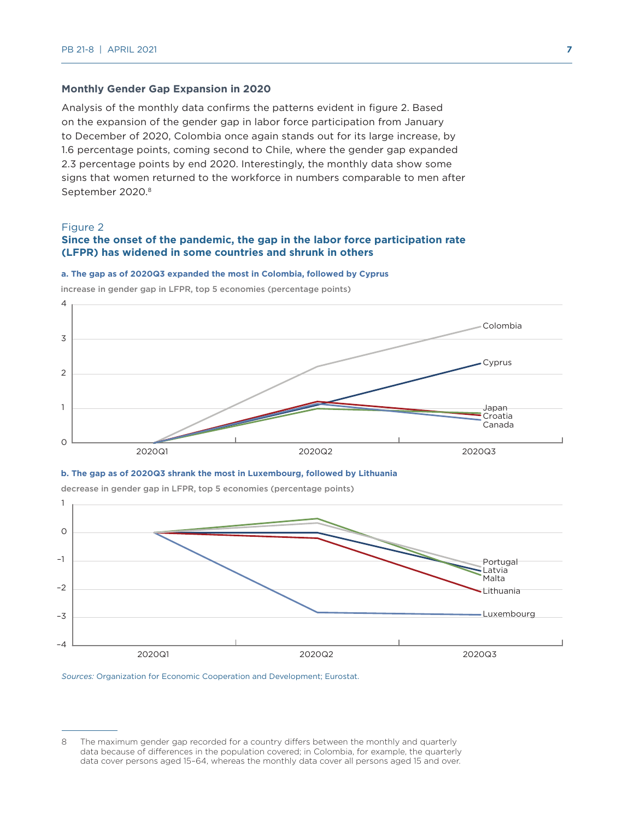#### **Monthly Gender Gap Expansion in 2020**

Analysis of the monthly data confirms the patterns evident in figure 2. Based on the expansion of the gender gap in labor force participation from January to December of 2020, Colombia once again stands out for its large increase, by 1.6 percentage points, coming second to Chile, where the gender gap expanded 2.3 percentage points by end 2020. Interestingly, the monthly data show some signs that women returned to the workforce in numbers comparable to men after September 2020.8

#### Figure 2

#### **Since the onset of the pandemic, the gap in the labor force participation rate (LFPR) has widened in some countries and shrunk in others**

#### **a. The gap as of 2020Q3 expanded the most in Colombia, followed by Cyprus**

![](_page_6_Figure_6.jpeg)

increase in gender gap in LFPR, top 5 economies (percentage points)

![](_page_6_Figure_8.jpeg)

![](_page_6_Figure_9.jpeg)

decrease in gender gap in LFPR, top 5 economies (percentage points)

*Sources:* Organization for Economic Cooperation and Development; Eurostat.

<sup>8</sup> The maximum gender gap recorded for a country differs between the monthly and quarterly data because of differences in the population covered; in Colombia, for example, the quarterly data cover persons aged 15–64, whereas the monthly data cover all persons aged 15 and over.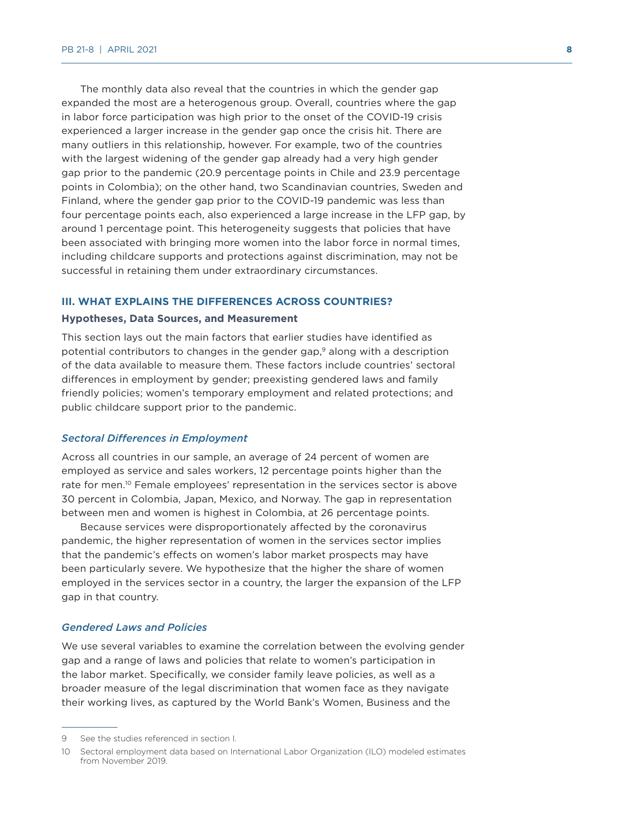The monthly data also reveal that the countries in which the gender gap expanded the most are a heterogenous group. Overall, countries where the gap in labor force participation was high prior to the onset of the COVID-19 crisis experienced a larger increase in the gender gap once the crisis hit. There are many outliers in this relationship, however. For example, two of the countries with the largest widening of the gender gap already had a very high gender gap prior to the pandemic (20.9 percentage points in Chile and 23.9 percentage points in Colombia); on the other hand, two Scandinavian countries, Sweden and Finland, where the gender gap prior to the COVID-19 pandemic was less than four percentage points each, also experienced a large increase in the LFP gap, by around 1 percentage point. This heterogeneity suggests that policies that have been associated with bringing more women into the labor force in normal times, including childcare supports and protections against discrimination, may not be successful in retaining them under extraordinary circumstances.

#### **III. WHAT EXPLAINS THE DIFFERENCES ACROSS COUNTRIES?**

#### **Hypotheses, Data Sources, and Measurement**

This section lays out the main factors that earlier studies have identified as potential contributors to changes in the gender gap,<sup>9</sup> along with a description of the data available to measure them. These factors include countries' sectoral differences in employment by gender; preexisting gendered laws and family friendly policies; women's temporary employment and related protections; and public childcare support prior to the pandemic.

#### *Sectoral Differences in Employment*

Across all countries in our sample, an average of 24 percent of women are employed as service and sales workers, 12 percentage points higher than the rate for men.<sup>10</sup> Female employees' representation in the services sector is above 30 percent in Colombia, Japan, Mexico, and Norway. The gap in representation between men and women is highest in Colombia, at 26 percentage points.

Because services were disproportionately affected by the coronavirus pandemic, the higher representation of women in the services sector implies that the pandemic's effects on women's labor market prospects may have been particularly severe. We hypothesize that the higher the share of women employed in the services sector in a country, the larger the expansion of the LFP gap in that country.

#### *Gendered Laws and Policies*

We use several variables to examine the correlation between the evolving gender gap and a range of laws and policies that relate to women's participation in the labor market. Specifically, we consider family leave policies, as well as a broader measure of the legal discrimination that women face as they navigate their working lives, as captured by the World Bank's Women, Business and the

<sup>9</sup> See the studies referenced in section I.

<sup>10</sup> Sectoral employment data based on International Labor Organization (ILO) modeled estimates from November 2019.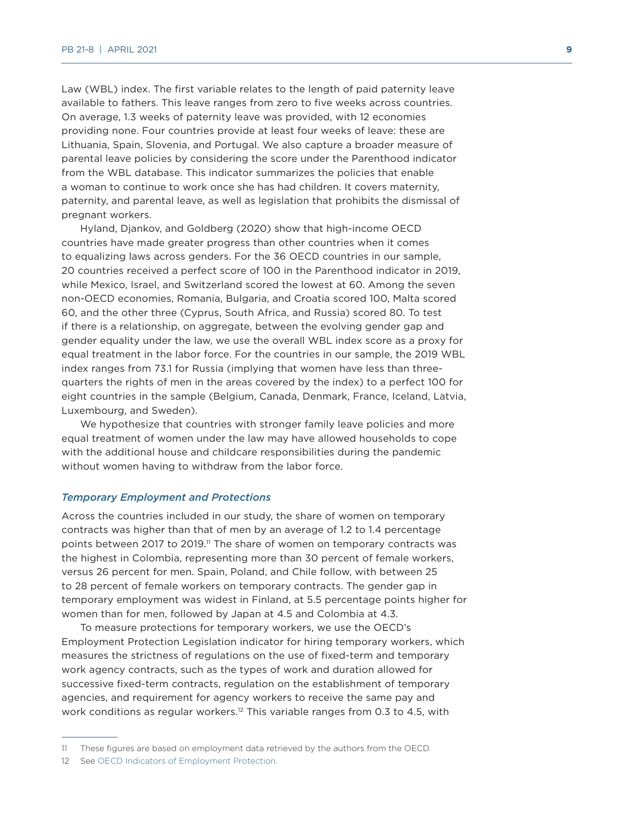Law (WBL) index. The first variable relates to the length of paid paternity leave available to fathers. This leave ranges from zero to five weeks across countries. On average, 1.3 weeks of paternity leave was provided, with 12 economies providing none. Four countries provide at least four weeks of leave: these are Lithuania, Spain, Slovenia, and Portugal. We also capture a broader measure of parental leave policies by considering the score under the Parenthood indicator from the WBL database. This indicator summarizes the policies that enable a woman to continue to work once she has had children. It covers maternity, paternity, and parental leave, as well as legislation that prohibits the dismissal of pregnant workers.

Hyland, Djankov, and Goldberg (2020) show that high-income OECD countries have made greater progress than other countries when it comes to equalizing laws across genders. For the 36 OECD countries in our sample, 20 countries received a perfect score of 100 in the Parenthood indicator in 2019, while Mexico, Israel, and Switzerland scored the lowest at 60. Among the seven non-OECD economies, Romania, Bulgaria, and Croatia scored 100, Malta scored 60, and the other three (Cyprus, South Africa, and Russia) scored 80. To test if there is a relationship, on aggregate, between the evolving gender gap and gender equality under the law, we use the overall WBL index score as a proxy for equal treatment in the labor force. For the countries in our sample, the 2019 WBL index ranges from 73.1 for Russia (implying that women have less than threequarters the rights of men in the areas covered by the index) to a perfect 100 for eight countries in the sample (Belgium, Canada, Denmark, France, Iceland, Latvia, Luxembourg, and Sweden).

We hypothesize that countries with stronger family leave policies and more equal treatment of women under the law may have allowed households to cope with the additional house and childcare responsibilities during the pandemic without women having to withdraw from the labor force.

#### *Temporary Employment and Protections*

Across the countries included in our study, the share of women on temporary contracts was higher than that of men by an average of 1.2 to 1.4 percentage points between 2017 to 2019.<sup>11</sup> The share of women on temporary contracts was the highest in Colombia, representing more than 30 percent of female workers, versus 26 percent for men. Spain, Poland, and Chile follow, with between 25 to 28 percent of female workers on temporary contracts. The gender gap in temporary employment was widest in Finland, at 5.5 percentage points higher for women than for men, followed by Japan at 4.5 and Colombia at 4.3.

To measure protections for temporary workers, we use the OECD's Employment Protection Legislation indicator for hiring temporary workers, which measures the strictness of regulations on the use of fixed-term and temporary work agency contracts, such as the types of work and duration allowed for successive fixed-term contracts, regulation on the establishment of temporary agencies, and requirement for agency workers to receive the same pay and work conditions as regular workers.<sup>12</sup> This variable ranges from 0.3 to 4.5, with

12 See [OECD Indicators of Employment Protection](https://www.oecd.org/employment/emp/oecdindicatorsofemploymentprotection-methodology.htm).

<sup>11</sup> These figures are based on employment data retrieved by the authors from the OECD.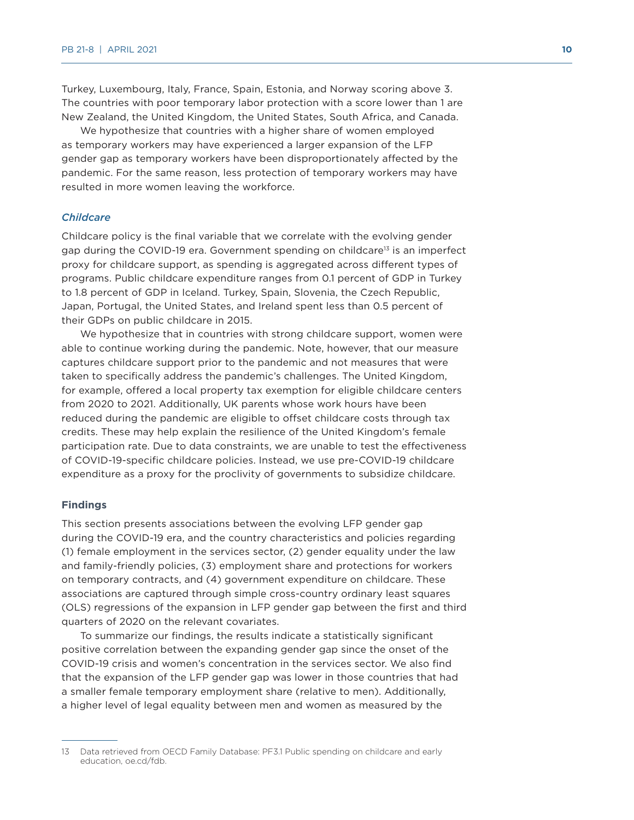Turkey, Luxembourg, Italy, France, Spain, Estonia, and Norway scoring above 3. The countries with poor temporary labor protection with a score lower than 1 are New Zealand, the United Kingdom, the United States, South Africa, and Canada.

We hypothesize that countries with a higher share of women employed as temporary workers may have experienced a larger expansion of the LFP gender gap as temporary workers have been disproportionately affected by the pandemic. For the same reason, less protection of temporary workers may have resulted in more women leaving the workforce.

#### *Childcare*

Childcare policy is the final variable that we correlate with the evolving gender gap during the COVID-19 era. Government spending on childcare<sup>13</sup> is an imperfect proxy for childcare support, as spending is aggregated across different types of programs. Public childcare expenditure ranges from 0.1 percent of GDP in Turkey to 1.8 percent of GDP in Iceland. Turkey, Spain, Slovenia, the Czech Republic, Japan, Portugal, the United States, and Ireland spent less than 0.5 percent of their GDPs on public childcare in 2015.

We hypothesize that in countries with strong childcare support, women were able to continue working during the pandemic. Note, however, that our measure captures childcare support prior to the pandemic and not measures that were taken to specifically address the pandemic's challenges. The United Kingdom, for example, offered a local property tax exemption for eligible childcare centers from 2020 to 2021. Additionally, UK parents whose work hours have been reduced during the pandemic are eligible to offset childcare costs through tax credits. These may help explain the resilience of the United Kingdom's female participation rate. Due to data constraints, we are unable to test the effectiveness of COVID-19-specific childcare policies. Instead, we use pre-COVID-19 childcare expenditure as a proxy for the proclivity of governments to subsidize childcare.

#### **Findings**

This section presents associations between the evolving LFP gender gap during the COVID-19 era, and the country characteristics and policies regarding (1) female employment in the services sector, (2) gender equality under the law and family-friendly policies, (3) employment share and protections for workers on temporary contracts, and (4) government expenditure on childcare. These associations are captured through simple cross-country ordinary least squares (OLS) regressions of the expansion in LFP gender gap between the first and third quarters of 2020 on the relevant covariates.

To summarize our findings, the results indicate a statistically significant positive correlation between the expanding gender gap since the onset of the COVID-19 crisis and women's concentration in the services sector. We also find that the expansion of the LFP gender gap was lower in those countries that had a smaller female temporary employment share (relative to men). Additionally, a higher level of legal equality between men and women as measured by the

<sup>13</sup> Data retrieved from OECD Family Database: PF3.1 Public spending on childcare and early education, oe.cd/fdb.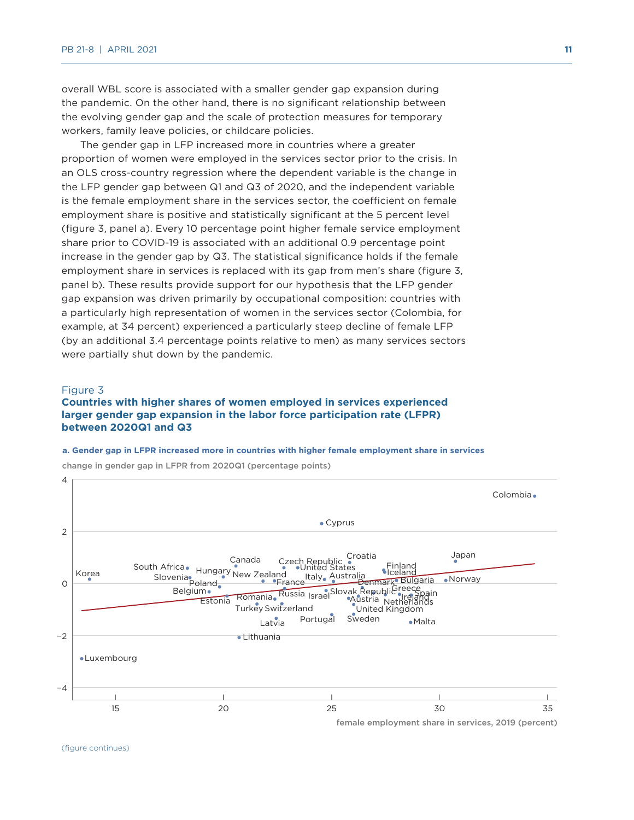overall WBL score is associated with a smaller gender gap expansion during the pandemic. On the other hand, there is no significant relationship between the evolving gender gap and the scale of protection measures for temporary workers, family leave policies, or childcare policies.

The gender gap in LFP increased more in countries where a greater proportion of women were employed in the services sector prior to the crisis. In an OLS cross-country regression where the dependent variable is the change in the LFP gender gap between Q1 and Q3 of 2020, and the independent variable is the female employment share in the services sector, the coefficient on female employment share is positive and statistically significant at the 5 percent level (figure 3, panel a). Every 10 percentage point higher female service employment share prior to COVID-19 is associated with an additional 0.9 percentage point increase in the gender gap by Q3. The statistical significance holds if the female employment share in services is replaced with its gap from men's share (figure 3, panel b). These results provide support for our hypothesis that the LFP gender gap expansion was driven primarily by occupational composition: countries with a particularly high representation of women in the services sector (Colombia, for example, at 34 percent) experienced a particularly steep decline of female LFP (by an additional 3.4 percentage points relative to men) as many services sectors were partially shut down by the pandemic.

#### Figure 3

#### **Countries with higher shares of women employed in services experienced larger gender gap expansion in the labor force participation rate (LFPR) between 2020Q1 and Q3**

#### **a. Gender gap in LFPR increased more in countries with higher female employment share in services**

![](_page_10_Figure_6.jpeg)

change in gender gap in LFPR from 2020Q1 (percentage points)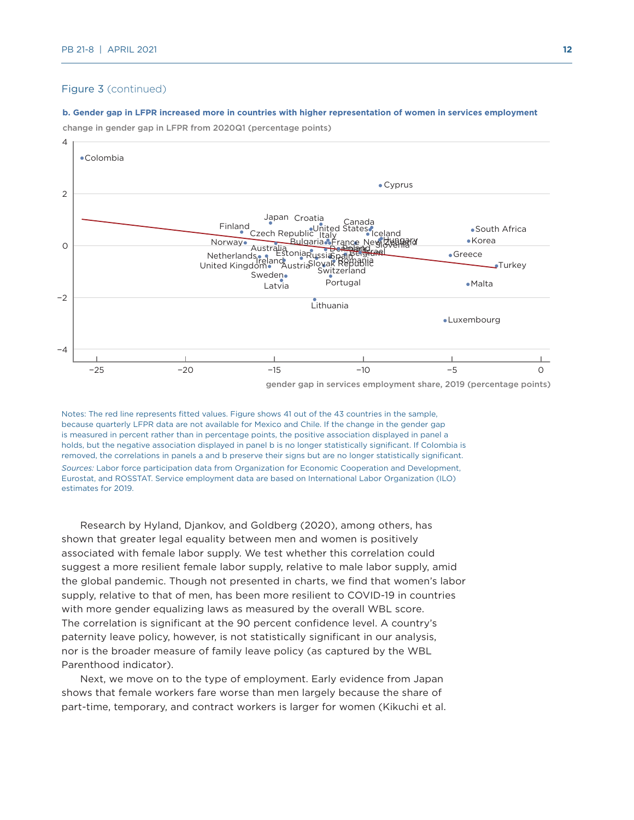#### Figure 3 (continued)

#### **b. Gender gap in LFPR increased more in countries with higher representation of women in services employment**

change in gender gap in LFPR from 2020Q1 (percentage points)

![](_page_11_Figure_4.jpeg)

gender gap in services employment share, 2019 (percentage points)

Notes: The red line represents fitted values. Figure shows 41 out of the 43 countries in the sample, because quarterly LFPR data are not available for Mexico and Chile. If the change in the gender gap is measured in percent rather than in percentage points, the positive association displayed in panel a holds, but the negative association displayed in panel b is no longer statistically significant. If Colombia is removed, the correlations in panels a and b preserve their signs but are no longer statistically significant. *Sources:* Labor force participation data from Organization for Economic Cooperation and Development, Eurostat, and ROSSTAT. Service employment data are based on International Labor Organization (ILO) estimates for 2019.

Research by Hyland, Djankov, and Goldberg (2020), among others, has shown that greater legal equality between men and women is positively associated with female labor supply. We test whether this correlation could suggest a more resilient female labor supply, relative to male labor supply, amid the global pandemic. Though not presented in charts, we find that women's labor supply, relative to that of men, has been more resilient to COVID-19 in countries with more gender equalizing laws as measured by the overall WBL score. The correlation is significant at the 90 percent confidence level. A country's paternity leave policy, however, is not statistically significant in our analysis, nor is the broader measure of family leave policy (as captured by the WBL Parenthood indicator).

Next, we move on to the type of employment. Early evidence from Japan shows that female workers fare worse than men largely because the share of part-time, temporary, and contract workers is larger for women (Kikuchi et al.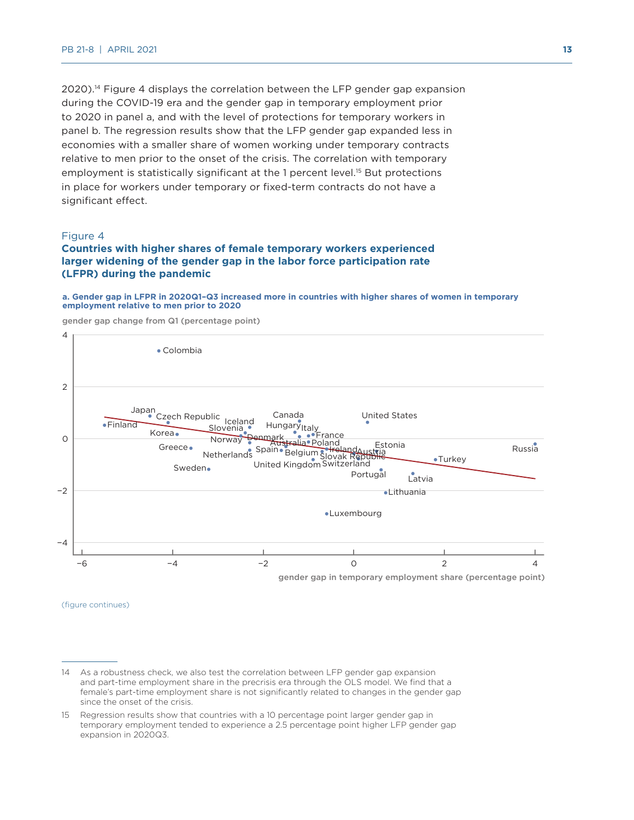2020).14 Figure 4 displays the correlation between the LFP gender gap expansion during the COVID-19 era and the gender gap in temporary employment prior to 2020 in panel a, and with the level of protections for temporary workers in panel b. The regression results show that the LFP gender gap expanded less in economies with a smaller share of women working under temporary contracts relative to men prior to the onset of the crisis. The correlation with temporary employment is statistically significant at the 1 percent level.<sup>15</sup> But protections in place for workers under temporary or fixed-term contracts do not have a significant effect.

#### Figure 4

#### **Countries with higher shares of female temporary workers experienced larger widening of the gender gap in the labor force participation rate (LFPR) during the pandemic**

#### **a. Gender gap in LFPR in 2020Q1–Q3 increased more in countries with higher shares of women in temporary employment relative to men prior to 2020**

gender gap change from Q1 (percentage point)

![](_page_12_Figure_6.jpeg)

(figure continues)

<sup>14</sup> As a robustness check, we also test the correlation between LFP gender gap expansion and part-time employment share in the precrisis era through the OLS model. We find that a female's part-time employment share is not significantly related to changes in the gender gap since the onset of the crisis.

<sup>15</sup> Regression results show that countries with a 10 percentage point larger gender gap in temporary employment tended to experience a 2.5 percentage point higher LFP gender gap expansion in 2020Q3.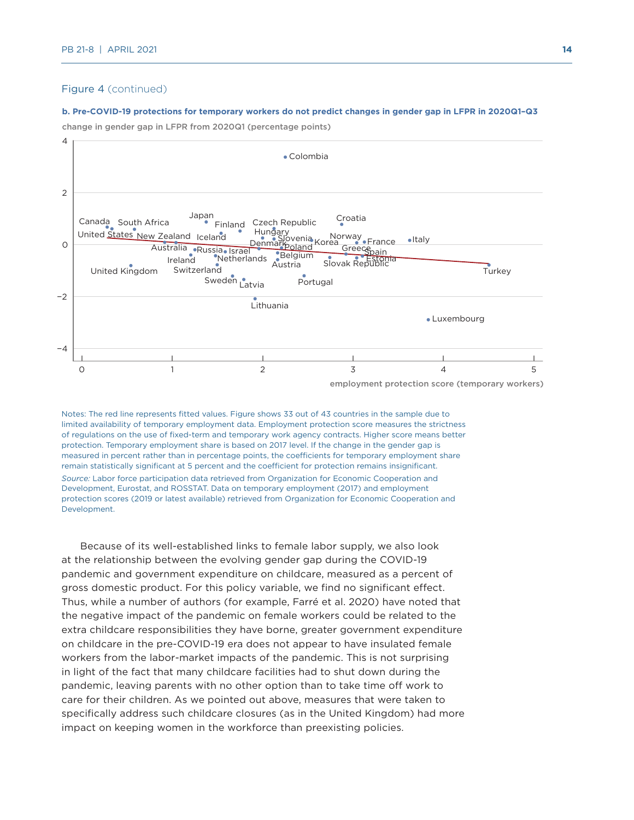#### Figure 4 (continued)

#### **b. Pre-COVID-19 protections for temporary workers do not predict changes in gender gap in LFPR in 2020Q1–Q3**

change in gender gap in LFPR from 2020Q1 (percentage points)

![](_page_13_Figure_4.jpeg)

employment protection score (temporary workers)

Notes: The red line represents fitted values. Figure shows 33 out of 43 countries in the sample due to limited availability of temporary employment data. Employment protection score measures the strictness of regulations on the use of fixed-term and temporary work agency contracts. Higher score means better protection. Temporary employment share is based on 2017 level. If the change in the gender gap is measured in percent rather than in percentage points, the coefficients for temporary employment share remain statistically significant at 5 percent and the coefficient for protection remains insignificant. *Source:* Labor force participation data retrieved from Organization for Economic Cooperation and Development, Eurostat, and ROSSTAT. Data on temporary employment (2017) and employment protection scores (2019 or latest available) retrieved from Organization for Economic Cooperation and Development.

Because of its well-established links to female labor supply, we also look at the relationship between the evolving gender gap during the COVID-19 pandemic and government expenditure on childcare, measured as a percent of gross domestic product. For this policy variable, we find no significant effect. Thus, while a number of authors (for example, Farré et al. 2020) have noted that the negative impact of the pandemic on female workers could be related to the extra childcare responsibilities they have borne, greater government expenditure on childcare in the pre-COVID-19 era does not appear to have insulated female workers from the labor-market impacts of the pandemic. This is not surprising in light of the fact that many childcare facilities had to shut down during the pandemic, leaving parents with no other option than to take time off work to care for their children. As we pointed out above, measures that were taken to specifically address such childcare closures (as in the United Kingdom) had more impact on keeping women in the workforce than preexisting policies.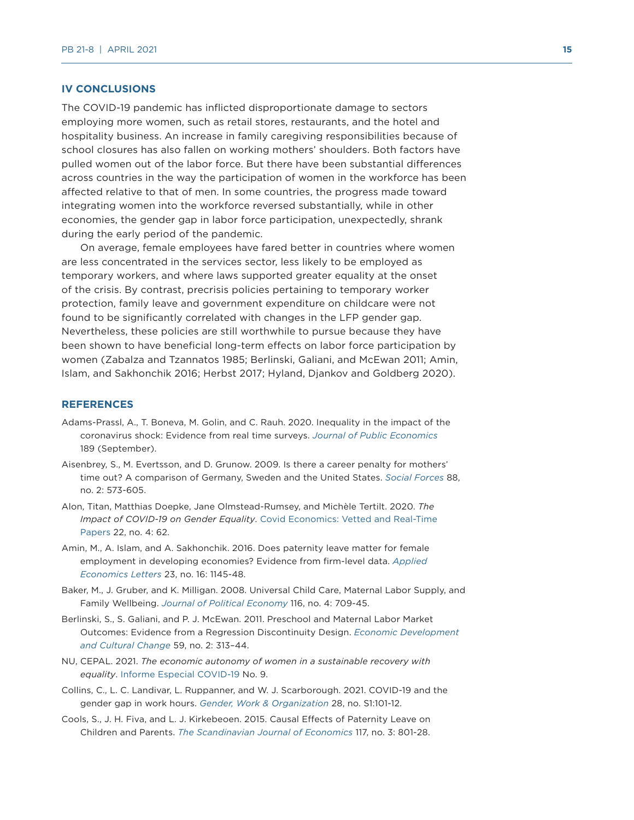#### **IV CONCLUSIONS**

The COVID-19 pandemic has inflicted disproportionate damage to sectors employing more women, such as retail stores, restaurants, and the hotel and hospitality business. An increase in family caregiving responsibilities because of school closures has also fallen on working mothers' shoulders. Both factors have pulled women out of the labor force. But there have been substantial differences across countries in the way the participation of women in the workforce has been affected relative to that of men. In some countries, the progress made toward integrating women into the workforce reversed substantially, while in other economies, the gender gap in labor force participation, unexpectedly, shrank during the early period of the pandemic.

On average, female employees have fared better in countries where women are less concentrated in the services sector, less likely to be employed as temporary workers, and where laws supported greater equality at the onset of the crisis. By contrast, precrisis policies pertaining to temporary worker protection, family leave and government expenditure on childcare were not found to be significantly correlated with changes in the LFP gender gap. Nevertheless, these policies are still worthwhile to pursue because they have been shown to have beneficial long-term effects on labor force participation by women (Zabalza and Tzannatos 1985; Berlinski, Galiani, and McEwan 2011; Amin, Islam, and Sakhonchik 2016; Herbst 2017; Hyland, Djankov and Goldberg 2020).

#### **REFERENCES**

- Adams-Prassl, A., T. Boneva, M. Golin, and C. Rauh. 2020. Inequality in the impact of the coronavirus shock: Evidence from real time surveys. *[Journal of Public Economics](https://www.sciencedirect.com/science/article/abs/pii/S0047272720301092)* 189 (September).
- Aisenbrey, S., M. Evertsson, and D. Grunow. 2009. Is there a career penalty for mothers' time out? A comparison of Germany, Sweden and the United States. *[Social Forces](https://www.jstor.org/stable/40645817?seq=1)* 88, no. 2: 573-605.
- Alon, Titan, Matthias Doepke, Jane Olmstead-Rumsey, and Michèle Tertilt. 2020. *The Impact of COVID-19 on Gender Equality*. [Covid Economics: Vetted and Real-Time](https://cepr.org/content/covid-economics-vetted-and-real-time-papers-0#PreviousIssues)  [Papers](https://cepr.org/content/covid-economics-vetted-and-real-time-papers-0#PreviousIssues) 22, no. 4: 62.
- Amin, M., A. Islam, and A. Sakhonchik. 2016. Does paternity leave matter for female employment in developing economies? Evidence from firm-level data. *[Applied](https://www.tandfonline.com/doi/abs/10.1080/13504851.2016.1139669)  [Economics Letters](https://www.tandfonline.com/doi/abs/10.1080/13504851.2016.1139669)* 23, no. 16: 1145-48.
- Baker, M., J. Gruber, and K. Milligan. 2008. Universal Child Care, Maternal Labor Supply, and Family Wellbeing. *[Journal of Political Economy](https://www.journals.uchicago.edu/doi/abs/10.1086/591908)* 116, no. 4: 709-45.
- Berlinski, S., S. Galiani, and P. J. McEwan. 2011. Preschool and Maternal Labor Market Outcomes: Evidence from a Regression Discontinuity Design. *[Economic Development](https://pubmed.ncbi.nlm.nih.gov/21174882/)  [and Cultural Change](https://pubmed.ncbi.nlm.nih.gov/21174882/)* 59, no. 2: 313–44.
- NU, CEPAL. 2021. *The economic autonomy of women in a sustainable recovery with equality*. [Informe Especial COVID-19](https://repositorio.cepal.org/handle/11362/46634) No. 9.
- Collins, C., L. C. Landivar, L. Ruppanner, and W. J. Scarborough. 2021. COVID-19 and the gender gap in work hours. *[Gender, Work & Organization](https://onlinelibrary.wiley.com/doi/10.1111/gwao.12506)* 28, no. S1:101-12.
- Cools, S., J. H. Fiva, and L. J. Kirkebeoen. 2015. Causal Effects of Paternity Leave on Children and Parents. *[The Scandinavian Journal of Economics](https://onlinelibrary.wiley.com/doi/abs/10.1111/sjoe.12113)* 117, no. 3: 801-28.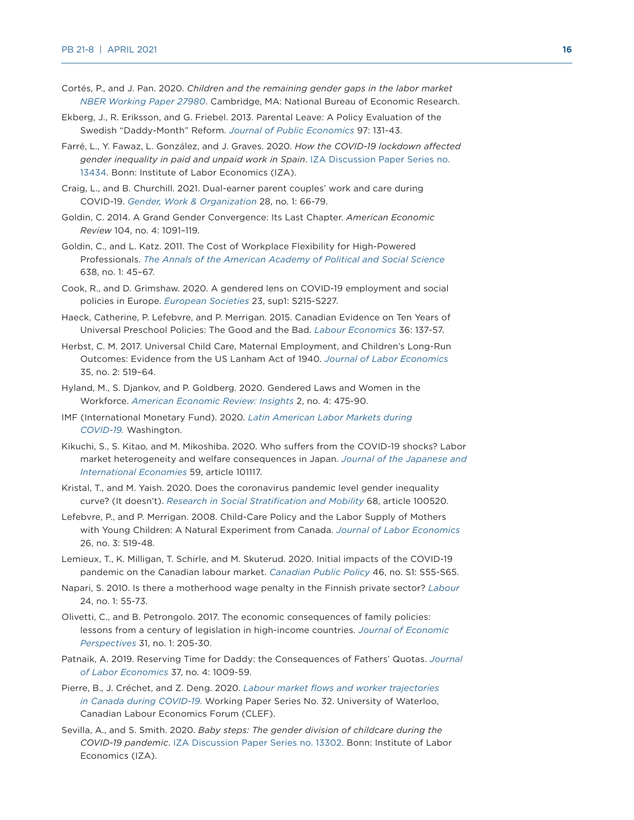- Cortés, P., and J. Pan. 2020. *Children and the remaining gender gaps in the labor market [NBER Working Paper 27980](https://www.nber.org/papers/w27980)*. Cambridge, MA: National Bureau of Economic Research.
- Ekberg, J., R. Eriksson, and G. Friebel. 2013. Parental Leave: A Policy Evaluation of the Swedish "Daddy-Month" Reform. *[Journal of Public Economics](https://www.sciencedirect.com/science/article/abs/pii/S0047272712001004)* 97: 131-43.
- Farré, L., Y. Fawaz, L. González, and J. Graves. 2020. *How the COVID-19 lockdown affected gender inequality in paid and unpaid work in Spain*. [IZA Discussion Paper Series no.](https://ideas.repec.org/p/iza/izadps/dp13434.html)  [13434.](https://ideas.repec.org/p/iza/izadps/dp13434.html) Bonn: Institute of Labor Economics (IZA).
- Craig, L., and B. Churchill. 2021. Dual-earner parent couples' work and care during COVID-19. *[Gender, Work & Organization](https://onlinelibrary.wiley.com/doi/10.1111/gwao.12497)* 28, no. 1: 66-79.
- Goldin, C. 2014. A Grand Gender Convergence: Its Last Chapter. *American Economic Review* 104, no. 4: 1091–119.
- Goldin, C., and L. Katz. 2011. The Cost of Workplace Flexibility for High-Powered Professionals. *[The Annals of the American Academy of Political and Social Science](https://scholar.harvard.edu/files/goldin/files/the_cost_of_workplace_flexibility_for_high-powered_professionals.pdf)* 638, no. 1: 45–67.
- Cook, R., and D. Grimshaw. 2020. A gendered lens on COVID-19 employment and social policies in Europe. *[European Societies](https://www.tandfonline.com/doi/full/10.1080/14616696.2020.1822538)* 23, sup1: S215-S227.
- Haeck, Catherine, P. Lefebvre, and P. Merrigan. 2015. Canadian Evidence on Ten Years of Universal Preschool Policies: The Good and the Bad. *[Labour Economics](https://www.sciencedirect.com/science/article/abs/pii/S0927537115000664)* 36: 137-57.
- Herbst, C. M. 2017. Universal Child Care, Maternal Employment, and Children's Long-Run Outcomes: Evidence from the US Lanham Act of 1940. *[Journal of Labor Economics](https://www.journals.uchicago.edu/doi/abs/10.1086/689478)* 35, no. 2: 519–64.
- Hyland, M., S. Djankov, and P. Goldberg. 2020. Gendered Laws and Women in the Workforce. *[American Economic Review: Insights](https://www.aeaweb.org/articles?id=10.1257/aeri.20190542)* 2, no. 4: 475-90.
- IMF (International Monetary Fund). 2020. *[Latin American Labor Markets during](https://www.imf.org/~/media/Files/Publications/REO/WHD/2020/Oct/English/Labor.ashx?la=en)  [COVID-19.](https://www.imf.org/~/media/Files/Publications/REO/WHD/2020/Oct/English/Labor.ashx?la=en)* Washington.
- Kikuchi, S., S. Kitao, and M. Mikoshiba. 2020. Who suffers from the COVID-19 shocks? Labor market heterogeneity and welfare consequences in Japan. *[Journal of the Japanese and](https://www.sciencedirect.com/journal/journal-of-the-japanese-and-international-economies/vol/59/suppl/C)  [International Economies](https://www.sciencedirect.com/journal/journal-of-the-japanese-and-international-economies/vol/59/suppl/C)* 59, article 101117.
- Kristal, T., and M. Yaish. 2020. Does the coronavirus pandemic level gender inequality curve? (It doesn't). *[Research in Social Stratification and Mobility](https://www.sciencedirect.com/science/article/pii/S0276562420300561)* 68, article 100520.
- Lefebvre, P., and P. Merrigan. 2008. Child-Care Policy and the Labor Supply of Mothers with Young Children: A Natural Experiment from Canada. *[Journal of Labor Economics](https://www.jstor.org/stable/10.1086/587760?seq=1)* 26, no. 3: 519-48.
- Lemieux, T., K. Milligan, T. Schirle, and M. Skuterud. 2020. Initial impacts of the COVID-19 pandemic on the Canadian labour market. *[Canadian Public Policy](https://www.utpjournals.press/doi/full/10.3138/cpp.2020-049)* 46, no. S1: S55-S65.
- Napari, S. 2010. Is there a motherhood wage penalty in the Finnish private sector? *[Labour](https://onlinelibrary.wiley.com/doi/abs/10.1111/j.1467-9914.2010.00471.x)* 24, no. 1: 55-73.
- Olivetti, C., and B. Petrongolo. 2017. The economic consequences of family policies: lessons from a century of legislation in high-income countries. *[Journal of Economic](https://www.aeaweb.org/articles?id=10.1257/jep.31.1.205)  [Perspectives](https://www.aeaweb.org/articles?id=10.1257/jep.31.1.205)* 31, no. 1: 205-30.
- Patnaik, A. 2019. Reserving Time for Daddy: the Consequences of Fathers' Quotas. *[Journal](https://www.journals.uchicago.edu/doi/abs/10.1086/703115?af=R&mobileUi=0)  [of Labor Economics](https://www.journals.uchicago.edu/doi/abs/10.1086/703115?af=R&mobileUi=0)* 37, no. 4: 1009-59.
- Pierre, B., J. Créchet, and Z. Deng. 2020. *[Labour market flows and worker trajectories](https://www.econstor.eu/handle/10419/225256)  [in Canada during COVID-19.](https://www.econstor.eu/handle/10419/225256)* Working Paper Series No. 32. University of Waterloo, Canadian Labour Economics Forum (CLEF).
- Sevilla, A., and S. Smith. 2020. *Baby steps: The gender division of childcare during the COVID-19 pandemic*. [IZA Discussion Paper Series no. 13302.](http://ftp.iza.org/dp13302.pdf) Bonn: Institute of Labor Economics (IZA).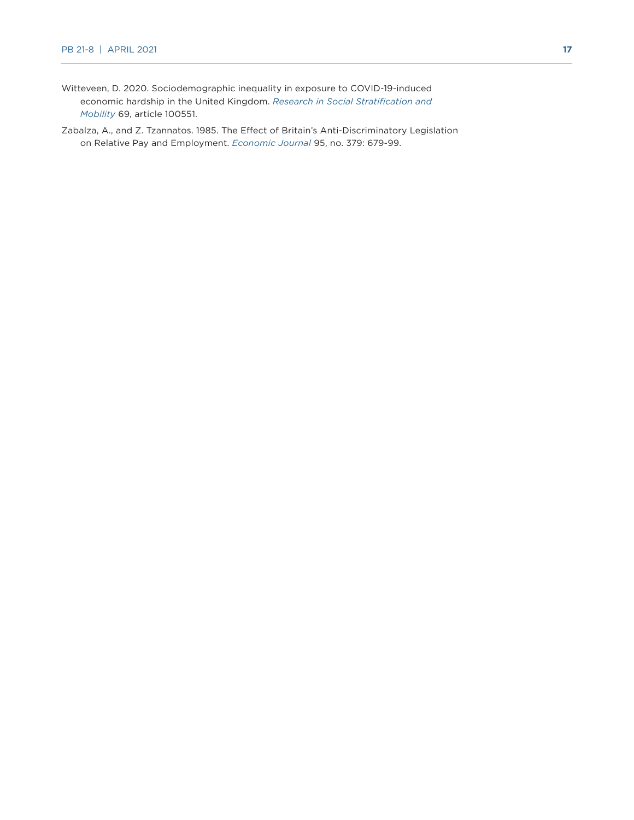- Witteveen, D. 2020. Sociodemographic inequality in exposure to COVID-19-induced economic hardship in the United Kingdom. *[Research in Social Stratification and](https://www.sciencedirect.com/science/article/pii/S0276562420300871)  [Mobility](https://www.sciencedirect.com/science/article/pii/S0276562420300871)* 69, article 100551.
- Zabalza, A., and Z. Tzannatos. 1985. The Effect of Britain's Anti-Discriminatory Legislation on Relative Pay and Employment. *[Economic Journal](https://www.jstor.org/stable/2233033?seq=1)* 95, no. 379: 679-99.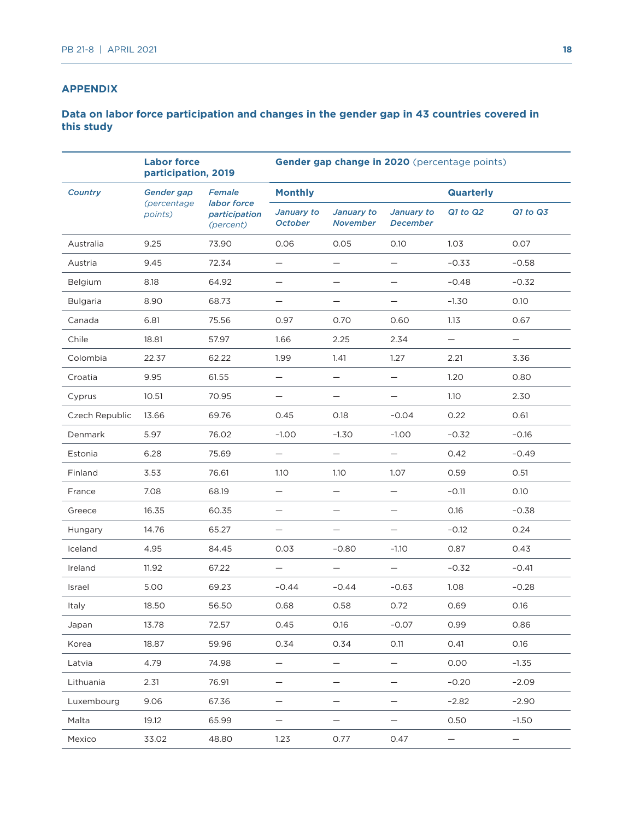#### **APPENDIX**

#### **Data on labor force participation and changes in the gender gap in 43 countries covered in this study**

|                 | <b>Labor force</b><br>participation, 2019 |                                                     | Gender gap change in 2020 (percentage points) |                               |                               |                  |                   |  |
|-----------------|-------------------------------------------|-----------------------------------------------------|-----------------------------------------------|-------------------------------|-------------------------------|------------------|-------------------|--|
| <b>Country</b>  | Gender gap<br>(percentage<br>points)      | Female<br>labor force<br>participation<br>(percent) | <b>Monthly</b>                                |                               |                               | <b>Quarterly</b> |                   |  |
|                 |                                           |                                                     | January to<br><b>October</b>                  | January to<br><b>November</b> | January to<br><b>December</b> | $Q1$ to $Q2$     | Q1 to Q3          |  |
| Australia       | 9.25                                      | 73.90                                               | 0.06                                          | 0.05                          | 0.10                          | 1.03             | 0.07              |  |
| Austria         | 9.45                                      | 72.34                                               |                                               | $\qquad \qquad -$             | $\qquad \qquad -$             | $-0.33$          | $-0.58$           |  |
| Belgium         | 8.18                                      | 64.92                                               |                                               | $\overline{\phantom{0}}$      |                               | $-0.48$          | $-0.32$           |  |
| <b>Bulgaria</b> | 8.90                                      | 68.73                                               |                                               |                               |                               | $-1.30$          | 0.10              |  |
| Canada          | 6.81                                      | 75.56                                               | 0.97                                          | 0.70                          | 0.60                          | 1.13             | 0.67              |  |
| Chile           | 18.81                                     | 57.97                                               | 1.66                                          | 2.25                          | 2.34                          |                  | $\qquad \qquad -$ |  |
| Colombia        | 22.37                                     | 62.22                                               | 1.99                                          | 1.41                          | 1.27                          | 2.21             | 3.36              |  |
| Croatia         | 9.95                                      | 61.55                                               | $\qquad \qquad -$                             | $\qquad \qquad -$             | $\qquad \qquad -$             | 1.20             | 0.80              |  |
| Cyprus          | 10.51                                     | 70.95                                               | —                                             | —                             |                               | 1.10             | 2.30              |  |
| Czech Republic  | 13.66                                     | 69.76                                               | 0.45                                          | 0.18                          | $-0.04$                       | 0.22             | 0.61              |  |
| Denmark         | 5.97                                      | 76.02                                               | $-1.00$                                       | $-1.30$                       | $-1.00$                       | $-0.32$          | $-0.16$           |  |
| Estonia         | 6.28                                      | 75.69                                               | $\qquad \qquad -$                             | $\qquad \qquad -$             | $\overline{\phantom{0}}$      | 0.42             | $-0.49$           |  |
| Finland         | 3.53                                      | 76.61                                               | 1.10                                          | 1.10                          | 1.07                          | 0.59             | 0.51              |  |
| France          | 7.08                                      | 68.19                                               | $\overline{\phantom{0}}$                      | $\overline{\phantom{0}}$      | $\overline{\phantom{0}}$      | $-0.11$          | 0.10              |  |
| Greece          | 16.35                                     | 60.35                                               | $\overline{\phantom{0}}$                      | $\overline{\phantom{0}}$      |                               | 0.16             | $-0.38$           |  |
| Hungary         | 14.76                                     | 65.27                                               | —                                             | $\qquad \qquad -$             | $\overline{\phantom{0}}$      | $-0.12$          | 0.24              |  |
| Iceland         | 4.95                                      | 84.45                                               | 0.03                                          | $-0.80$                       | $-1.10$                       | 0.87             | 0.43              |  |
| Ireland         | 11.92                                     | 67.22                                               | $\overline{\phantom{0}}$                      | $\overline{\phantom{0}}$      |                               | $-0.32$          | $-0.41$           |  |
| Israel          | 5.00                                      | 69.23                                               | $-0.44$                                       | $-0.44$                       | $-0.63$                       | 1.08             | $-0.28$           |  |
| Italy           | 18.50                                     | 56.50                                               | 0.68                                          | 0.58                          | 0.72                          | 0.69             | 0.16              |  |
| Japan           | 13.78                                     | 72.57                                               | 0.45                                          | 0.16                          | $-0.07$                       | 0.99             | 0.86              |  |
| Korea           | 18.87                                     | 59.96                                               | 0.34                                          | 0.34                          | O.11                          | 0.41             | 0.16              |  |
| Latvia          | 4.79                                      | 74.98                                               | —                                             | —                             |                               | 0.00             | $-1.35$           |  |
| Lithuania       | 2.31                                      | 76.91                                               | $\qquad \qquad -$                             | —                             | $\qquad \qquad -$             | $-0.20$          | $-2.09$           |  |
| Luxembourg      | 9.06                                      | 67.36                                               | —                                             | —                             |                               | $-2.82$          | $-2.90$           |  |
| Malta           | 19.12                                     | 65.99                                               | —                                             | —                             |                               | 0.50             | $-1.50$           |  |
| Mexico          | 33.02                                     | 48.80                                               | 1.23                                          | 0.77                          | 0.47                          | —                | $\qquad \qquad -$ |  |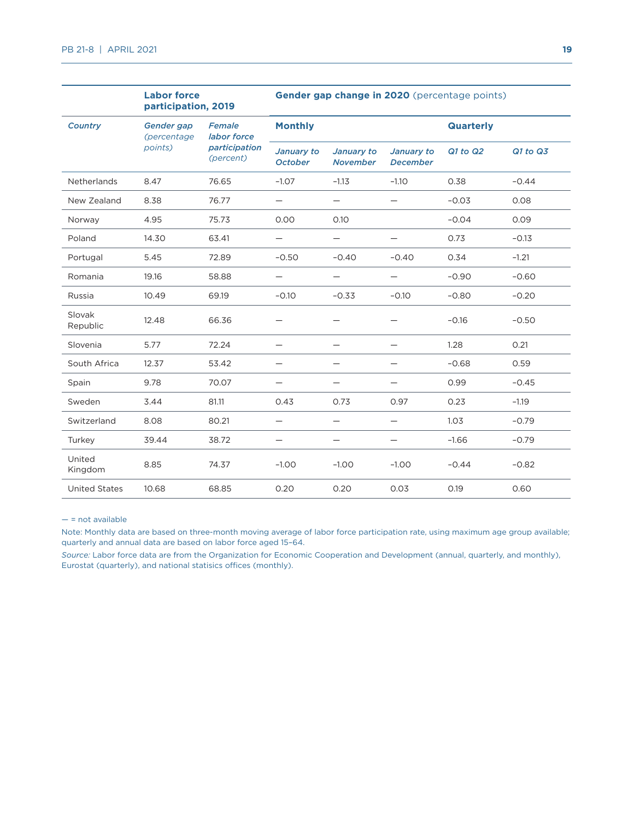|                      | <b>Labor force</b><br>participation, 2019 |                                                     | Gender gap change in 2020 (percentage points) |                               |                                  |                  |          |  |
|----------------------|-------------------------------------------|-----------------------------------------------------|-----------------------------------------------|-------------------------------|----------------------------------|------------------|----------|--|
| <b>Country</b>       | Gender gap<br>(percentage<br>points)      | Female<br>labor force<br>participation<br>(percent) | <b>Monthly</b>                                |                               |                                  | <b>Quarterly</b> |          |  |
|                      |                                           |                                                     | January to<br><b>October</b>                  | January to<br><b>November</b> | January to<br><b>December</b>    | $Q1$ to $Q2$     | Q1 to Q3 |  |
| Netherlands          | 8.47                                      | 76.65                                               | $-1.07$                                       | $-1.13$                       | $-1.10$                          | 0.38             | $-0.44$  |  |
| New Zealand          | 8.38                                      | 76.77                                               | $\overline{\phantom{0}}$                      | $\qquad \qquad -$             |                                  | $-0.03$          | 0.08     |  |
| Norway               | 4.95                                      | 75.73                                               | 0.00                                          | 0.10                          |                                  | $-0.04$          | 0.09     |  |
| Poland               | 14.30                                     | 63.41                                               |                                               | $\overline{\phantom{0}}$      |                                  | 0.73             | $-0.13$  |  |
| Portugal             | 5.45                                      | 72.89                                               | $-0.50$                                       | $-0.40$                       | $-0.40$                          | 0.34             | $-1.21$  |  |
| Romania              | 19.16                                     | 58.88                                               | —                                             | $\qquad \qquad -$             | $\overbrace{\phantom{12322111}}$ | $-0.90$          | $-0.60$  |  |
| Russia               | 10.49                                     | 69.19                                               | $-0.10$                                       | $-0.33$                       | $-0.10$                          | $-0.80$          | $-0.20$  |  |
| Slovak<br>Republic   | 12.48                                     | 66.36                                               |                                               | $\qquad \qquad$               |                                  | $-0.16$          | $-0.50$  |  |
| Slovenia             | 5.77                                      | 72.24                                               |                                               | $\overline{\phantom{0}}$      |                                  | 1.28             | 0.21     |  |
| South Africa         | 12.37                                     | 53.42                                               | —                                             | $\overline{\phantom{0}}$      |                                  | $-0.68$          | 0.59     |  |
| Spain                | 9.78                                      | 70.07                                               |                                               | —                             |                                  | 0.99             | $-0.45$  |  |
| Sweden               | 3.44                                      | 81.11                                               | 0.43                                          | 0.73                          | 0.97                             | 0.23             | $-1.19$  |  |
| Switzerland          | 8.08                                      | 80.21                                               |                                               |                               |                                  | 1.03             | $-0.79$  |  |
| Turkey               | 39.44                                     | 38.72                                               | —                                             | $\qquad \qquad -$             |                                  | $-1.66$          | $-0.79$  |  |
| United<br>Kingdom    | 8.85                                      | 74.37                                               | $-1.00$                                       | $-1.00$                       | $-1.00$                          | $-0.44$          | $-0.82$  |  |
| <b>United States</b> | 10.68                                     | 68.85                                               | 0.20                                          | 0.20                          | 0.03                             | 0.19             | 0.60     |  |

— = not available

Note: Monthly data are based on three-month moving average of labor force participation rate, using maximum age group available; quarterly and annual data are based on labor force aged 15–64.

*Source:* Labor force data are from the Organization for Economic Cooperation and Development (annual, quarterly, and monthly), Eurostat (quarterly), and national statisics offices (monthly).